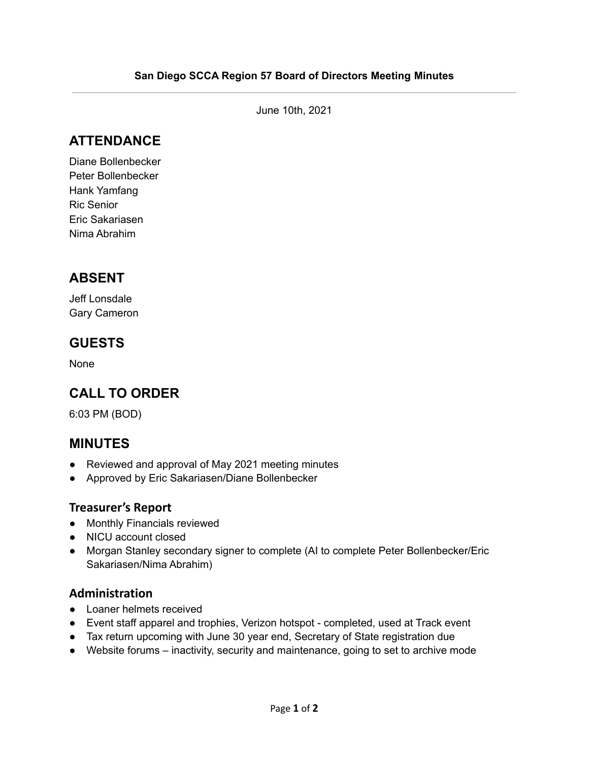June 10th, 2021

# **ATTENDANCE**

Diane Bollenbecker Peter Bollenbecker Hank Yamfang Ric Senior Eric Sakariasen Nima Abrahim

## **ABSENT**

Jeff Lonsdale Gary Cameron

# **GUESTS**

None

# **CALL TO ORDER**

6:03 PM (BOD)

## **MINUTES**

- Reviewed and approval of May 2021 meeting minutes
- Approved by Eric Sakariasen/Diane Bollenbecker

#### **Treasurer's Report**

- Monthly Financials reviewed
- NICU account closed
- Morgan Stanley secondary signer to complete (AI to complete Peter Bollenbecker/Eric Sakariasen/Nima Abrahim)

#### **Administration**

- Loaner helmets received
- Event staff apparel and trophies, Verizon hotspot completed, used at Track event
- Tax return upcoming with June 30 year end, Secretary of State registration due
- Website forums inactivity, security and maintenance, going to set to archive mode